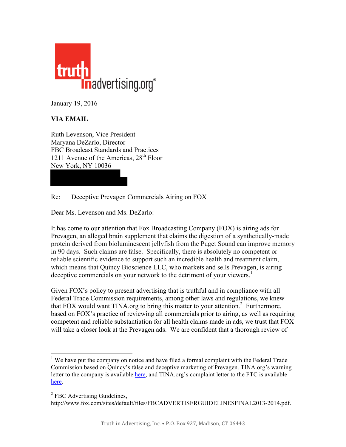

January 19, 2016

## **VIA EMAIL**

Ruth Levenson, Vice President Maryana DeZarlo, Director FBC Broadcast Standards and Practices 1211 Avenue of the Americas,  $28<sup>th</sup>$  Floor New York, NY 10036

Re: Deceptive Prevagen Commercials Airing on FOX

Dear Ms. Levenson and Ms. DeZarlo:

It has come to our attention that Fox Broadcasting Company (FOX) is airing ads for Prevagen, an alleged brain supplement that claims the digestion of a synthetically-made protein derived from bioluminescent jellyfish from the Puget Sound can improve memory in 90 days. Such claims are false. Specifically, there is absolutely no competent or reliable scientific evidence to support such an incredible health and treatment claim, which means that Quincy Bioscience LLC, who markets and sells Prevagen, is airing deceptive commercials on your network to the detriment of your viewers.<sup>1</sup>

Given FOX's policy to present advertising that is truthful and in compliance with all Federal Trade Commission requirements, among other laws and regulations, we knew that FOX would want TINA.org to bring this matter to your attention. <sup>2</sup> Furthermore, based on FOX's practice of reviewing all commercials prior to airing, as well as requiring competent and reliable substantiation for all health claims made in ads, we trust that FOX will take a closer look at the Prevagen ads. We are confident that a thorough review of

<sup>&</sup>lt;sup>1</sup> We have put the company on notice and have filed a formal complaint with the Federal Trade Commission based on Quincy's false and deceptive marketing of Prevagen. TINA.org's warning letter to the company is available [here,](https://www.truthinadvertising.org/wp-content/uploads/2015/09/Ltr-from-TINA-to-Quincy-Bioscience-re-Prevagen_Redacted.pdf) and TINA.org's complaint letter to the FTC is available [here.](https://www.truthinadvertising.org/wp-content/uploads/2015/09/Complaint-ltr-from-TINA-to-FTC-re-Prevagen.pdf)

<sup>&</sup>lt;sup>2</sup> FBC Advertising Guidelines,

[http://www.fox.com/sites/default/files/FBCADVERTISERGUIDELINESFINAL2013-2014.pdf.](http://www.fox.com/sites/default/files/FBCADVERTISERGUIDELINESFINAL2013-2014.pdf)